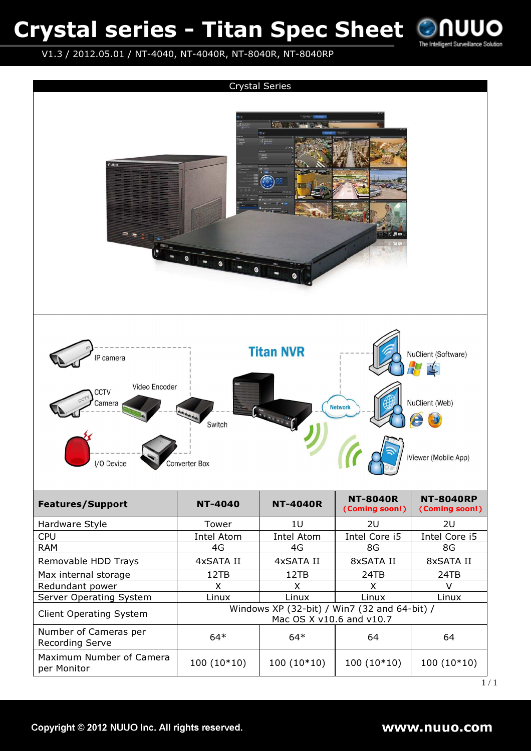### Crystal series - Titan Spec Sheet



V1.3 / 2012.05.01 / NT-4040, NT-4040R, NT-8040R, NT-8040RP

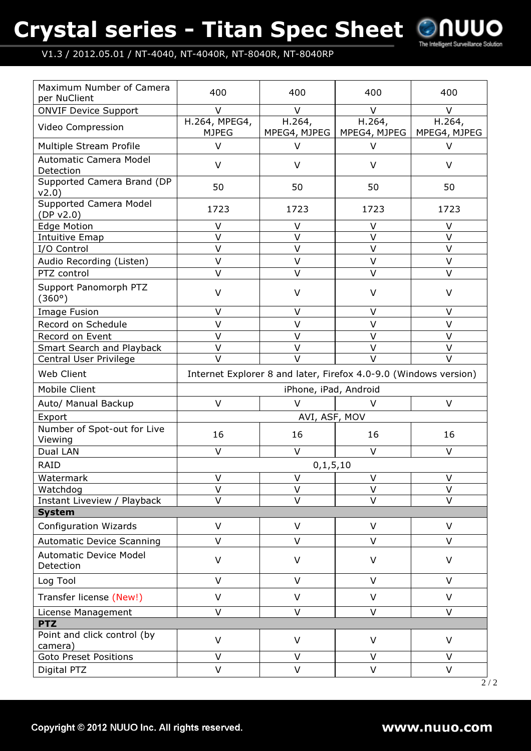# Crystal series - Titan Spec Sheet



### V1.3 / 2012.05.01 / NT-4040, NT-4040R, NT-8040R, NT-8040RP

| <b>ONVIF Device Support</b><br>$\vee$<br>V<br>$\vee$<br>V<br>H.264, MPEG4,<br>H.264,<br>H.264,<br>H.264,<br>Video Compression<br><b>MJPEG</b><br>MPEG4, MJPEG<br>MPEG4, MJPEG<br>MPEG4, MJPEG<br>$\vee$<br>Multiple Stream Profile<br>V<br>$\vee$<br>V<br>Automatic Camera Model<br>$\vee$<br>$\vee$<br>$\vee$<br>V<br>Detection<br>Supported Camera Brand (DP<br>50<br>50<br>50<br>50<br>V2.0)<br>Supported Camera Model<br>1723<br>1723<br>1723<br>1723<br>(DP v2.0)<br><b>Edge Motion</b><br>$\vee$<br>V<br>$\vee$<br>V<br>$\vee$<br>$\vee$<br>V<br>$\vee$<br>Intuitive Emap<br>$\vee$<br>$\vee$<br>$\vee$<br>$\vee$<br>I/O Control<br>$\vee$<br>$\vee$<br>Audio Recording (Listen)<br>V<br>V<br>$\vee$<br>$\vee$<br>$\vee$<br>$\vee$<br>PTZ control<br>Support Panomorph PTZ<br>$\vee$<br>V<br>V<br>V<br>(360°)<br>$\vee$<br>V<br>$\vee$<br><b>Image Fusion</b><br>V<br>$\vee$<br>$\vee$<br>$\vee$<br>$\vee$<br>Record on Schedule<br>$\vee$<br>$\vee$<br>$\vee$<br>Record on Event<br>V<br>$\vee$<br>$\vee$<br>$\vee$<br>$\vee$<br>Smart Search and Playback<br>$\vee$<br>$\vee$<br>$\vee$<br>$\vee$<br>Central User Privilege<br>Web Client<br>Internet Explorer 8 and later, Firefox 4.0-9.0 (Windows version)<br>Mobile Client<br>iPhone, iPad, Android<br>$\vee$<br>$\vee$<br>V<br>Auto/ Manual Backup<br>v<br>AVI, ASF, MOV<br>Export<br>Number of Spot-out for Live<br>16<br>16<br>16<br>16<br>Viewing<br>$\vee$<br>Dual LAN<br>$\vee$<br>$\vee$<br>$\vee$<br><b>RAID</b><br>0, 1, 5, 10<br>V<br>Watermark<br>V<br>V<br>V<br>$\vee$<br>$\vee$<br>$\vee$<br>$\vee$<br>Watchdog<br>$\vee$<br>$\vee$<br>V<br>V<br>Instant Liveview / Playback<br><b>System</b><br><b>Configuration Wizards</b><br>$\vee$<br>$\vee$<br>$\vee$<br>$\vee$<br>$\vee$<br><b>Automatic Device Scanning</b><br>$\vee$<br>V<br>V<br><b>Automatic Device Model</b><br>$\vee$<br>$\vee$<br>$\vee$<br>V<br>Detection<br>Log Tool<br>$\vee$<br>$\vee$<br>$\vee$<br>$\vee$<br>Transfer license (New!)<br>$\vee$<br>$\vee$<br>$\vee$<br>$\vee$<br>$\vee$<br>$\vee$<br>$\vee$<br>$\vee$<br>License Management<br><b>PTZ</b><br>Point and click control (by<br>$\vee$<br>$\vee$<br>$\vee$<br>V<br>camera)<br><b>Goto Preset Positions</b><br>$\vee$<br>V<br>V<br>V<br>$\vee$<br>V<br>V<br>Digital PTZ<br>V | Maximum Number of Camera<br>per NuClient | 400 | 400 | 400 | 400 |
|------------------------------------------------------------------------------------------------------------------------------------------------------------------------------------------------------------------------------------------------------------------------------------------------------------------------------------------------------------------------------------------------------------------------------------------------------------------------------------------------------------------------------------------------------------------------------------------------------------------------------------------------------------------------------------------------------------------------------------------------------------------------------------------------------------------------------------------------------------------------------------------------------------------------------------------------------------------------------------------------------------------------------------------------------------------------------------------------------------------------------------------------------------------------------------------------------------------------------------------------------------------------------------------------------------------------------------------------------------------------------------------------------------------------------------------------------------------------------------------------------------------------------------------------------------------------------------------------------------------------------------------------------------------------------------------------------------------------------------------------------------------------------------------------------------------------------------------------------------------------------------------------------------------------------------------------------------------------------------------------------------------------------------------------------------------------------------------------------------------------------------------------------------------------------------------------------------------------------------------------------------------------------------|------------------------------------------|-----|-----|-----|-----|
|                                                                                                                                                                                                                                                                                                                                                                                                                                                                                                                                                                                                                                                                                                                                                                                                                                                                                                                                                                                                                                                                                                                                                                                                                                                                                                                                                                                                                                                                                                                                                                                                                                                                                                                                                                                                                                                                                                                                                                                                                                                                                                                                                                                                                                                                                    |                                          |     |     |     |     |
|                                                                                                                                                                                                                                                                                                                                                                                                                                                                                                                                                                                                                                                                                                                                                                                                                                                                                                                                                                                                                                                                                                                                                                                                                                                                                                                                                                                                                                                                                                                                                                                                                                                                                                                                                                                                                                                                                                                                                                                                                                                                                                                                                                                                                                                                                    |                                          |     |     |     |     |
|                                                                                                                                                                                                                                                                                                                                                                                                                                                                                                                                                                                                                                                                                                                                                                                                                                                                                                                                                                                                                                                                                                                                                                                                                                                                                                                                                                                                                                                                                                                                                                                                                                                                                                                                                                                                                                                                                                                                                                                                                                                                                                                                                                                                                                                                                    |                                          |     |     |     |     |
|                                                                                                                                                                                                                                                                                                                                                                                                                                                                                                                                                                                                                                                                                                                                                                                                                                                                                                                                                                                                                                                                                                                                                                                                                                                                                                                                                                                                                                                                                                                                                                                                                                                                                                                                                                                                                                                                                                                                                                                                                                                                                                                                                                                                                                                                                    |                                          |     |     |     |     |
|                                                                                                                                                                                                                                                                                                                                                                                                                                                                                                                                                                                                                                                                                                                                                                                                                                                                                                                                                                                                                                                                                                                                                                                                                                                                                                                                                                                                                                                                                                                                                                                                                                                                                                                                                                                                                                                                                                                                                                                                                                                                                                                                                                                                                                                                                    |                                          |     |     |     |     |
|                                                                                                                                                                                                                                                                                                                                                                                                                                                                                                                                                                                                                                                                                                                                                                                                                                                                                                                                                                                                                                                                                                                                                                                                                                                                                                                                                                                                                                                                                                                                                                                                                                                                                                                                                                                                                                                                                                                                                                                                                                                                                                                                                                                                                                                                                    |                                          |     |     |     |     |
|                                                                                                                                                                                                                                                                                                                                                                                                                                                                                                                                                                                                                                                                                                                                                                                                                                                                                                                                                                                                                                                                                                                                                                                                                                                                                                                                                                                                                                                                                                                                                                                                                                                                                                                                                                                                                                                                                                                                                                                                                                                                                                                                                                                                                                                                                    |                                          |     |     |     |     |
|                                                                                                                                                                                                                                                                                                                                                                                                                                                                                                                                                                                                                                                                                                                                                                                                                                                                                                                                                                                                                                                                                                                                                                                                                                                                                                                                                                                                                                                                                                                                                                                                                                                                                                                                                                                                                                                                                                                                                                                                                                                                                                                                                                                                                                                                                    |                                          |     |     |     |     |
|                                                                                                                                                                                                                                                                                                                                                                                                                                                                                                                                                                                                                                                                                                                                                                                                                                                                                                                                                                                                                                                                                                                                                                                                                                                                                                                                                                                                                                                                                                                                                                                                                                                                                                                                                                                                                                                                                                                                                                                                                                                                                                                                                                                                                                                                                    |                                          |     |     |     |     |
|                                                                                                                                                                                                                                                                                                                                                                                                                                                                                                                                                                                                                                                                                                                                                                                                                                                                                                                                                                                                                                                                                                                                                                                                                                                                                                                                                                                                                                                                                                                                                                                                                                                                                                                                                                                                                                                                                                                                                                                                                                                                                                                                                                                                                                                                                    |                                          |     |     |     |     |
|                                                                                                                                                                                                                                                                                                                                                                                                                                                                                                                                                                                                                                                                                                                                                                                                                                                                                                                                                                                                                                                                                                                                                                                                                                                                                                                                                                                                                                                                                                                                                                                                                                                                                                                                                                                                                                                                                                                                                                                                                                                                                                                                                                                                                                                                                    |                                          |     |     |     |     |
|                                                                                                                                                                                                                                                                                                                                                                                                                                                                                                                                                                                                                                                                                                                                                                                                                                                                                                                                                                                                                                                                                                                                                                                                                                                                                                                                                                                                                                                                                                                                                                                                                                                                                                                                                                                                                                                                                                                                                                                                                                                                                                                                                                                                                                                                                    |                                          |     |     |     |     |
|                                                                                                                                                                                                                                                                                                                                                                                                                                                                                                                                                                                                                                                                                                                                                                                                                                                                                                                                                                                                                                                                                                                                                                                                                                                                                                                                                                                                                                                                                                                                                                                                                                                                                                                                                                                                                                                                                                                                                                                                                                                                                                                                                                                                                                                                                    |                                          |     |     |     |     |
|                                                                                                                                                                                                                                                                                                                                                                                                                                                                                                                                                                                                                                                                                                                                                                                                                                                                                                                                                                                                                                                                                                                                                                                                                                                                                                                                                                                                                                                                                                                                                                                                                                                                                                                                                                                                                                                                                                                                                                                                                                                                                                                                                                                                                                                                                    |                                          |     |     |     |     |
|                                                                                                                                                                                                                                                                                                                                                                                                                                                                                                                                                                                                                                                                                                                                                                                                                                                                                                                                                                                                                                                                                                                                                                                                                                                                                                                                                                                                                                                                                                                                                                                                                                                                                                                                                                                                                                                                                                                                                                                                                                                                                                                                                                                                                                                                                    |                                          |     |     |     |     |
|                                                                                                                                                                                                                                                                                                                                                                                                                                                                                                                                                                                                                                                                                                                                                                                                                                                                                                                                                                                                                                                                                                                                                                                                                                                                                                                                                                                                                                                                                                                                                                                                                                                                                                                                                                                                                                                                                                                                                                                                                                                                                                                                                                                                                                                                                    |                                          |     |     |     |     |
|                                                                                                                                                                                                                                                                                                                                                                                                                                                                                                                                                                                                                                                                                                                                                                                                                                                                                                                                                                                                                                                                                                                                                                                                                                                                                                                                                                                                                                                                                                                                                                                                                                                                                                                                                                                                                                                                                                                                                                                                                                                                                                                                                                                                                                                                                    |                                          |     |     |     |     |
|                                                                                                                                                                                                                                                                                                                                                                                                                                                                                                                                                                                                                                                                                                                                                                                                                                                                                                                                                                                                                                                                                                                                                                                                                                                                                                                                                                                                                                                                                                                                                                                                                                                                                                                                                                                                                                                                                                                                                                                                                                                                                                                                                                                                                                                                                    |                                          |     |     |     |     |
|                                                                                                                                                                                                                                                                                                                                                                                                                                                                                                                                                                                                                                                                                                                                                                                                                                                                                                                                                                                                                                                                                                                                                                                                                                                                                                                                                                                                                                                                                                                                                                                                                                                                                                                                                                                                                                                                                                                                                                                                                                                                                                                                                                                                                                                                                    |                                          |     |     |     |     |
|                                                                                                                                                                                                                                                                                                                                                                                                                                                                                                                                                                                                                                                                                                                                                                                                                                                                                                                                                                                                                                                                                                                                                                                                                                                                                                                                                                                                                                                                                                                                                                                                                                                                                                                                                                                                                                                                                                                                                                                                                                                                                                                                                                                                                                                                                    |                                          |     |     |     |     |
|                                                                                                                                                                                                                                                                                                                                                                                                                                                                                                                                                                                                                                                                                                                                                                                                                                                                                                                                                                                                                                                                                                                                                                                                                                                                                                                                                                                                                                                                                                                                                                                                                                                                                                                                                                                                                                                                                                                                                                                                                                                                                                                                                                                                                                                                                    |                                          |     |     |     |     |
|                                                                                                                                                                                                                                                                                                                                                                                                                                                                                                                                                                                                                                                                                                                                                                                                                                                                                                                                                                                                                                                                                                                                                                                                                                                                                                                                                                                                                                                                                                                                                                                                                                                                                                                                                                                                                                                                                                                                                                                                                                                                                                                                                                                                                                                                                    |                                          |     |     |     |     |
|                                                                                                                                                                                                                                                                                                                                                                                                                                                                                                                                                                                                                                                                                                                                                                                                                                                                                                                                                                                                                                                                                                                                                                                                                                                                                                                                                                                                                                                                                                                                                                                                                                                                                                                                                                                                                                                                                                                                                                                                                                                                                                                                                                                                                                                                                    |                                          |     |     |     |     |
|                                                                                                                                                                                                                                                                                                                                                                                                                                                                                                                                                                                                                                                                                                                                                                                                                                                                                                                                                                                                                                                                                                                                                                                                                                                                                                                                                                                                                                                                                                                                                                                                                                                                                                                                                                                                                                                                                                                                                                                                                                                                                                                                                                                                                                                                                    |                                          |     |     |     |     |
|                                                                                                                                                                                                                                                                                                                                                                                                                                                                                                                                                                                                                                                                                                                                                                                                                                                                                                                                                                                                                                                                                                                                                                                                                                                                                                                                                                                                                                                                                                                                                                                                                                                                                                                                                                                                                                                                                                                                                                                                                                                                                                                                                                                                                                                                                    |                                          |     |     |     |     |
|                                                                                                                                                                                                                                                                                                                                                                                                                                                                                                                                                                                                                                                                                                                                                                                                                                                                                                                                                                                                                                                                                                                                                                                                                                                                                                                                                                                                                                                                                                                                                                                                                                                                                                                                                                                                                                                                                                                                                                                                                                                                                                                                                                                                                                                                                    |                                          |     |     |     |     |
|                                                                                                                                                                                                                                                                                                                                                                                                                                                                                                                                                                                                                                                                                                                                                                                                                                                                                                                                                                                                                                                                                                                                                                                                                                                                                                                                                                                                                                                                                                                                                                                                                                                                                                                                                                                                                                                                                                                                                                                                                                                                                                                                                                                                                                                                                    |                                          |     |     |     |     |
|                                                                                                                                                                                                                                                                                                                                                                                                                                                                                                                                                                                                                                                                                                                                                                                                                                                                                                                                                                                                                                                                                                                                                                                                                                                                                                                                                                                                                                                                                                                                                                                                                                                                                                                                                                                                                                                                                                                                                                                                                                                                                                                                                                                                                                                                                    |                                          |     |     |     |     |
|                                                                                                                                                                                                                                                                                                                                                                                                                                                                                                                                                                                                                                                                                                                                                                                                                                                                                                                                                                                                                                                                                                                                                                                                                                                                                                                                                                                                                                                                                                                                                                                                                                                                                                                                                                                                                                                                                                                                                                                                                                                                                                                                                                                                                                                                                    |                                          |     |     |     |     |
|                                                                                                                                                                                                                                                                                                                                                                                                                                                                                                                                                                                                                                                                                                                                                                                                                                                                                                                                                                                                                                                                                                                                                                                                                                                                                                                                                                                                                                                                                                                                                                                                                                                                                                                                                                                                                                                                                                                                                                                                                                                                                                                                                                                                                                                                                    |                                          |     |     |     |     |
|                                                                                                                                                                                                                                                                                                                                                                                                                                                                                                                                                                                                                                                                                                                                                                                                                                                                                                                                                                                                                                                                                                                                                                                                                                                                                                                                                                                                                                                                                                                                                                                                                                                                                                                                                                                                                                                                                                                                                                                                                                                                                                                                                                                                                                                                                    |                                          |     |     |     |     |
|                                                                                                                                                                                                                                                                                                                                                                                                                                                                                                                                                                                                                                                                                                                                                                                                                                                                                                                                                                                                                                                                                                                                                                                                                                                                                                                                                                                                                                                                                                                                                                                                                                                                                                                                                                                                                                                                                                                                                                                                                                                                                                                                                                                                                                                                                    |                                          |     |     |     |     |
|                                                                                                                                                                                                                                                                                                                                                                                                                                                                                                                                                                                                                                                                                                                                                                                                                                                                                                                                                                                                                                                                                                                                                                                                                                                                                                                                                                                                                                                                                                                                                                                                                                                                                                                                                                                                                                                                                                                                                                                                                                                                                                                                                                                                                                                                                    |                                          |     |     |     |     |
|                                                                                                                                                                                                                                                                                                                                                                                                                                                                                                                                                                                                                                                                                                                                                                                                                                                                                                                                                                                                                                                                                                                                                                                                                                                                                                                                                                                                                                                                                                                                                                                                                                                                                                                                                                                                                                                                                                                                                                                                                                                                                                                                                                                                                                                                                    |                                          |     |     |     |     |
|                                                                                                                                                                                                                                                                                                                                                                                                                                                                                                                                                                                                                                                                                                                                                                                                                                                                                                                                                                                                                                                                                                                                                                                                                                                                                                                                                                                                                                                                                                                                                                                                                                                                                                                                                                                                                                                                                                                                                                                                                                                                                                                                                                                                                                                                                    |                                          |     |     |     |     |
|                                                                                                                                                                                                                                                                                                                                                                                                                                                                                                                                                                                                                                                                                                                                                                                                                                                                                                                                                                                                                                                                                                                                                                                                                                                                                                                                                                                                                                                                                                                                                                                                                                                                                                                                                                                                                                                                                                                                                                                                                                                                                                                                                                                                                                                                                    |                                          |     |     |     |     |
|                                                                                                                                                                                                                                                                                                                                                                                                                                                                                                                                                                                                                                                                                                                                                                                                                                                                                                                                                                                                                                                                                                                                                                                                                                                                                                                                                                                                                                                                                                                                                                                                                                                                                                                                                                                                                                                                                                                                                                                                                                                                                                                                                                                                                                                                                    |                                          |     |     |     |     |
|                                                                                                                                                                                                                                                                                                                                                                                                                                                                                                                                                                                                                                                                                                                                                                                                                                                                                                                                                                                                                                                                                                                                                                                                                                                                                                                                                                                                                                                                                                                                                                                                                                                                                                                                                                                                                                                                                                                                                                                                                                                                                                                                                                                                                                                                                    |                                          |     |     |     |     |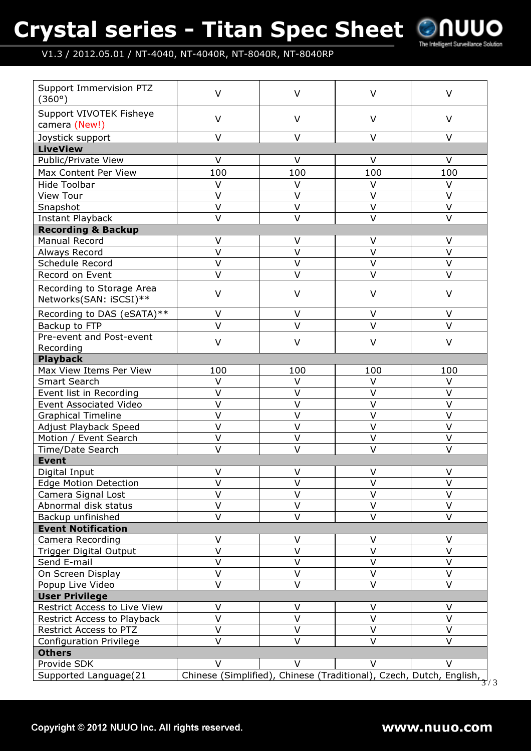# Crystal series - Titan Spec Sheet



#### V1.3 / 2012.05.01 / NT-4040, NT-4040R, NT-8040R, NT-8040RP

| Support Immervision PTZ<br>(360°)                   | V                       | $\vee$            | $\vee$                                                              | $\vee$           |
|-----------------------------------------------------|-------------------------|-------------------|---------------------------------------------------------------------|------------------|
| Support VIVOTEK Fisheye                             | $\vee$                  | $\vee$            | $\vee$                                                              | $\vee$           |
| camera (New!)                                       |                         |                   |                                                                     |                  |
| Joystick support                                    | $\vee$                  | $\vee$            | $\vee$                                                              | $\vee$           |
| <b>LiveView</b>                                     |                         |                   |                                                                     |                  |
| Public/Private View                                 | V                       | $\vee$            | $\vee$                                                              | $\vee$           |
| Max Content Per View                                | 100                     | 100               | 100                                                                 | 100              |
| <b>Hide Toolbar</b>                                 | V                       | $\vee$            | V                                                                   | V                |
| <b>View Tour</b>                                    | $\vee$                  | $\vee$            | $\vee$                                                              | $\vee$           |
| Snapshot                                            | $\vee$                  | $\vee$            | $\vee$                                                              | $\vee$           |
| <b>Instant Playback</b>                             | $\vee$                  | $\vee$            | $\vee$                                                              | $\vee$           |
| <b>Recording &amp; Backup</b>                       |                         |                   |                                                                     |                  |
| Manual Record                                       | V                       | $\vee$            | V                                                                   | V                |
| Always Record                                       | $\overline{\mathsf{v}}$ | $\overline{\vee}$ | $\vee$                                                              | $\vee$           |
| Schedule Record                                     | $\vee$                  | $\vee$            | $\vee$                                                              | $\vee$           |
| Record on Event                                     | $\vee$                  | $\vee$            | V                                                                   | $\vee$           |
| Recording to Storage Area<br>Networks(SAN: iSCSI)** | $\vee$                  | $\vee$            | $\vee$                                                              | $\vee$           |
| Recording to DAS (eSATA)**                          | $\vee$                  | $\vee$            | V                                                                   | $\vee$           |
| Backup to FTP                                       | $\vee$                  | $\vee$            | $\vee$                                                              | $\vee$           |
| Pre-event and Post-event                            |                         |                   |                                                                     |                  |
| Recording                                           | $\vee$                  | $\vee$            | $\vee$                                                              | $\vee$           |
| <b>Playback</b>                                     |                         |                   |                                                                     |                  |
| Max View Items Per View                             | 100                     | 100               | 100                                                                 | 100              |
| <b>Smart Search</b>                                 | $\vee$                  | $\vee$            | V                                                                   | V                |
| Event list in Recording                             | $\vee$                  | V                 | V                                                                   | $\vee$           |
| <b>Event Associated Video</b>                       | $\vee$                  | V                 | V                                                                   | $\vee$           |
| <b>Graphical Timeline</b>                           | $\vee$                  | $\vee$            | $\vee$                                                              | $\vee$           |
| Adjust Playback Speed                               | $\vee$                  | $\vee$            | $\vee$                                                              | $\vee$           |
| Motion / Event Search                               | $\vee$                  | $\vee$            | $\vee$                                                              | $\vee$           |
| <b>Time/Date Search</b>                             | $\vee$                  | $\vee$            | V                                                                   | $\vee$           |
| <b>Event</b>                                        |                         |                   |                                                                     |                  |
| Digital Input                                       | $\vee$                  | $\vee$            | V                                                                   | $\vee$           |
| <b>Edge Motion Detection</b>                        | $\vee$                  | $\vee$            | V                                                                   | $\vee$           |
| Camera Signal Lost                                  | V                       | $\vee$            | V                                                                   | $\vee$           |
| Abnormal disk status                                | V                       | $\vee$            | V                                                                   | V                |
| Backup unfinished                                   | $\vee$                  | $\vee$            | $\vee$                                                              | $\vee$           |
| <b>Event Notification</b>                           |                         |                   |                                                                     |                  |
|                                                     | $\vee$                  |                   |                                                                     |                  |
| Camera Recording                                    | $\vee$                  | $\vee$<br>$\vee$  | V<br>$\vee$                                                         | $\vee$<br>$\vee$ |
| <b>Trigger Digital Output</b>                       | $\overline{\mathsf{V}}$ | $\vee$            | $\vee$                                                              | $\vee$           |
| Send E-mail                                         | $\vee$                  | $\vee$            | V                                                                   | $\vee$           |
| On Screen Display                                   | $\vee$                  | $\vee$            | V                                                                   | $\vee$           |
| Popup Live Video                                    |                         |                   |                                                                     |                  |
| <b>User Privilege</b>                               |                         |                   |                                                                     |                  |
| Restrict Access to Live View                        | V<br>$\vee$             | V                 | V                                                                   | V                |
| Restrict Access to Playback                         |                         | $\vee$            | $\vee$                                                              | $\vee$           |
| Restrict Access to PTZ                              | $\vee$                  | $\vee$            | V                                                                   | $\vee$           |
| <b>Configuration Privilege</b>                      | $\vee$                  | $\vee$            | $\vee$                                                              | $\vee$           |
| <b>Others</b>                                       |                         |                   |                                                                     |                  |
| Provide SDK                                         | $\vee$                  | $\vee$            | $\vee$                                                              | $\vee$           |
| Supported Language(21                               |                         |                   | Chinese (Simplified), Chinese (Traditional), Czech, Dutch, English, | 3/3              |